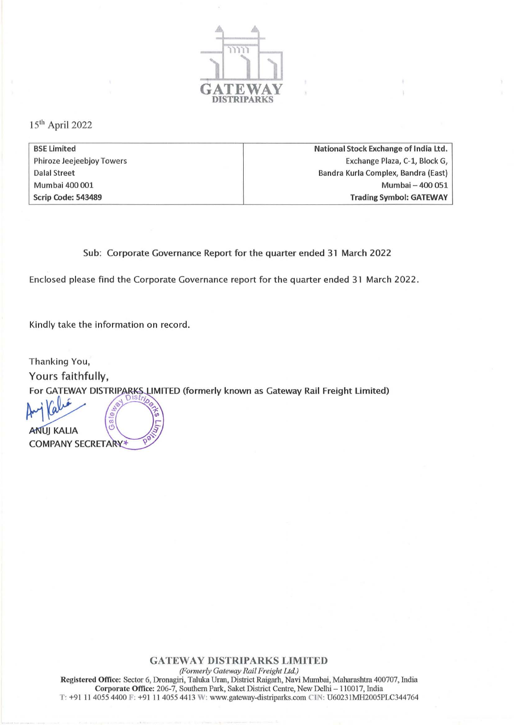

151h April 2022

| <b>BSE Limited</b>        | National Stock Exchange of India Ltd. |
|---------------------------|---------------------------------------|
| Phiroze Jeejeebjoy Towers | Exchange Plaza, C-1, Block G,         |
| <b>Dalal Street</b>       | Bandra Kurla Complex, Bandra (East)   |
| Mumbai 400 001            | Mumbai - 400 051                      |
| Scrip Code: 543489        | <b>Trading Symbol: GATEWAY</b>        |

Sub: Corporate Governance Report for the quarter ended 31 March 2022

Enclosed please find the Corporate Governance report for the quarter ended 31 March 2022.

Kindly take the information on record.

Thanking You, Yours faithfully, For GATEWAY DISTRIP <sup>~</sup>IMITED (formerly known as Gateway Rail Freight Limited) tI1 ~ !OOISlrio .. <sup>~</sup>

ANUJ KALIA <sup>O</sup>WANU

## **GATEWAY DISTRIPARKS LIMITED**

*(Formerly Gateway Rail Freight Ltd.)*  **Registered Office: Sector 6, Dronagiri, Taluka Unm. District Raigarh, Navi Mumbai, Maharashtra 400707, India**  Corporate Office: 206-7, Southern Park, Saket District Centre, New Delhi - 110017, India T: +91 11 4055 4400 F: +91 11 4055 4413 W: www.gateway-distriparks.com CIN: U60231MH2005PLC344764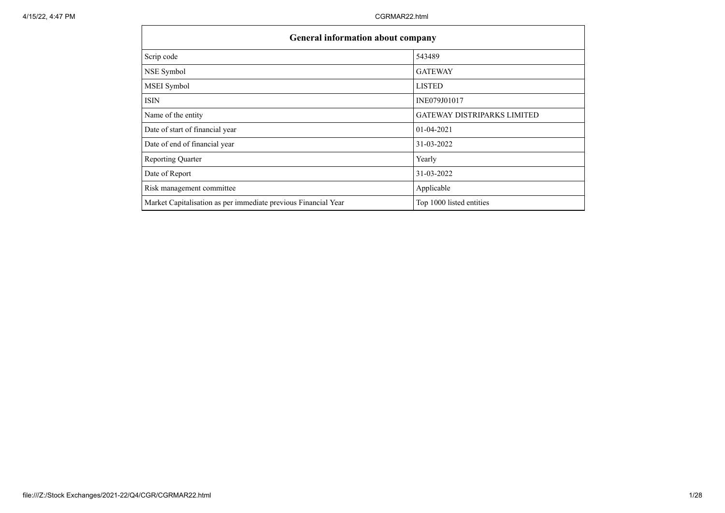|                                                                | <b>General information about company</b> |  |  |  |  |  |  |  |  |  |
|----------------------------------------------------------------|------------------------------------------|--|--|--|--|--|--|--|--|--|
| Scrip code                                                     | 543489                                   |  |  |  |  |  |  |  |  |  |
| NSE Symbol                                                     | <b>GATEWAY</b>                           |  |  |  |  |  |  |  |  |  |
| <b>MSEI</b> Symbol                                             | <b>LISTED</b>                            |  |  |  |  |  |  |  |  |  |
| <b>ISIN</b>                                                    | INE079J01017                             |  |  |  |  |  |  |  |  |  |
| Name of the entity                                             | <b>GATEWAY DISTRIPARKS LIMITED</b>       |  |  |  |  |  |  |  |  |  |
| Date of start of financial year                                | $01 - 04 - 2021$                         |  |  |  |  |  |  |  |  |  |
| Date of end of financial year                                  | 31-03-2022                               |  |  |  |  |  |  |  |  |  |
| <b>Reporting Quarter</b>                                       | Yearly                                   |  |  |  |  |  |  |  |  |  |
| Date of Report                                                 | 31-03-2022                               |  |  |  |  |  |  |  |  |  |
| Risk management committee                                      | Applicable                               |  |  |  |  |  |  |  |  |  |
| Market Capitalisation as per immediate previous Financial Year | Top 1000 listed entities                 |  |  |  |  |  |  |  |  |  |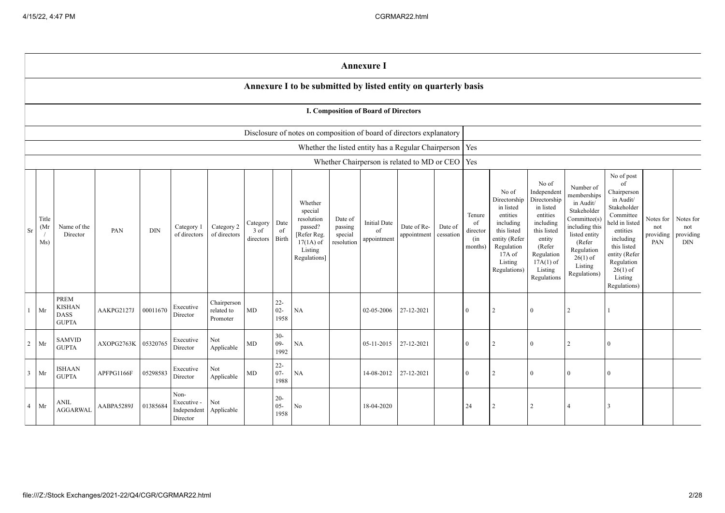|                |                      |                                                             |            |            |                                                |                                       |                                 |                          |                                                                                                      |                                             | <b>Annexure I</b>                           |                                                           |                      |                                            |                                                                                                                                                |                                                                                                                                                                      |                                                                                                                                                                          |                                                                                                                                                                                                            |                                      |                                             |
|----------------|----------------------|-------------------------------------------------------------|------------|------------|------------------------------------------------|---------------------------------------|---------------------------------|--------------------------|------------------------------------------------------------------------------------------------------|---------------------------------------------|---------------------------------------------|-----------------------------------------------------------|----------------------|--------------------------------------------|------------------------------------------------------------------------------------------------------------------------------------------------|----------------------------------------------------------------------------------------------------------------------------------------------------------------------|--------------------------------------------------------------------------------------------------------------------------------------------------------------------------|------------------------------------------------------------------------------------------------------------------------------------------------------------------------------------------------------------|--------------------------------------|---------------------------------------------|
|                |                      |                                                             |            |            |                                                |                                       |                                 |                          | Annexure I to be submitted by listed entity on quarterly basis                                       |                                             |                                             |                                                           |                      |                                            |                                                                                                                                                |                                                                                                                                                                      |                                                                                                                                                                          |                                                                                                                                                                                                            |                                      |                                             |
|                |                      |                                                             |            |            |                                                |                                       |                                 |                          |                                                                                                      |                                             | <b>I. Composition of Board of Directors</b> |                                                           |                      |                                            |                                                                                                                                                |                                                                                                                                                                      |                                                                                                                                                                          |                                                                                                                                                                                                            |                                      |                                             |
|                |                      |                                                             |            |            |                                                |                                       |                                 |                          | Disclosure of notes on composition of board of directors explanatory                                 |                                             |                                             |                                                           |                      |                                            |                                                                                                                                                |                                                                                                                                                                      |                                                                                                                                                                          |                                                                                                                                                                                                            |                                      |                                             |
|                |                      |                                                             |            |            |                                                |                                       |                                 |                          |                                                                                                      |                                             |                                             | Whether the listed entity has a Regular Chairperson   Yes |                      |                                            |                                                                                                                                                |                                                                                                                                                                      |                                                                                                                                                                          |                                                                                                                                                                                                            |                                      |                                             |
|                |                      |                                                             |            |            |                                                |                                       |                                 |                          |                                                                                                      |                                             |                                             | Whether Chairperson is related to MD or CEO               |                      | Yes                                        |                                                                                                                                                |                                                                                                                                                                      |                                                                                                                                                                          |                                                                                                                                                                                                            |                                      |                                             |
| Sr             | Title<br>(Mr)<br>Ms) | Name of the<br>Director                                     | PAN        | <b>DIN</b> | Category 1<br>of directors                     | Category 2<br>of directors            | Category<br>$3$ of<br>directors | Date<br>of<br>Birth      | Whether<br>special<br>resolution<br>passed?<br>[Refer Reg.<br>$17(1A)$ of<br>Listing<br>Regulations] | Date of<br>passing<br>special<br>resolution | Initial Date<br>of<br>appointment           | Date of Re-<br>appointment                                | Date of<br>cessation | Tenure<br>of<br>director<br>(in<br>months) | No of<br>Directorship<br>in listed<br>entities<br>including<br>this listed<br>entity (Refer<br>Regulation<br>17A of<br>Listing<br>Regulations) | No of<br>Independent<br>Directorship<br>in listed<br>entities<br>including<br>this listed<br>entity<br>(Refer<br>Regulation<br>$17A(1)$ of<br>Listing<br>Regulations | Number of<br>memberships<br>in Audit/<br>Stakeholder<br>Committee(s)<br>including this<br>listed entity<br>(Refer<br>Regulation<br>$26(1)$ of<br>Listing<br>Regulations) | No of post<br>of<br>Chairperson<br>in Audit/<br>Stakeholder<br>Committee<br>held in listed<br>entities<br>including<br>this listed<br>entity (Refer<br>Regulation<br>$26(1)$ of<br>Listing<br>Regulations) | Notes for<br>not<br>providing<br>PAN | Notes for<br>not<br>providing<br>$\rm{DIN}$ |
| $\mathbf{1}$   | Mr                   | <b>PREM</b><br><b>KISHAN</b><br><b>DASS</b><br><b>GUPTA</b> | AAKPG2127J | 00011670   | Executive<br>Director                          | Chairperson<br>related to<br>Promoter | MD                              | $22 -$<br>$02 -$<br>1958 | $\rm NA$                                                                                             |                                             | 02-05-2006                                  | 27-12-2021                                                |                      | $\theta$                                   |                                                                                                                                                | $\Omega$                                                                                                                                                             | $\overline{2}$                                                                                                                                                           |                                                                                                                                                                                                            |                                      |                                             |
| $\overline{2}$ | Mr                   | <b>SAMVID</b><br><b>GUPTA</b>                               | AXOPG2763K | 05320765   | Executive<br>Director                          | Not<br>Applicable                     | MD                              | $30 -$<br>$09 -$<br>1992 | NA                                                                                                   |                                             | 05-11-2015                                  | 27-12-2021                                                |                      | $\theta$                                   | $\mathfrak{D}$                                                                                                                                 | $\Omega$                                                                                                                                                             | $\overline{2}$                                                                                                                                                           | $\Omega$                                                                                                                                                                                                   |                                      |                                             |
| $\mathfrak{Z}$ | Mr                   | ISHAAN<br><b>GUPTA</b>                                      | APFPG1166F | 05298583   | Executive<br>Director                          | Not<br>Applicable                     | MD                              | $22 -$<br>$07 -$<br>1988 | NA                                                                                                   |                                             | 14-08-2012                                  | 27-12-2021                                                |                      | $\overline{0}$                             |                                                                                                                                                | $\Omega$                                                                                                                                                             | $\Omega$                                                                                                                                                                 | $\Omega$                                                                                                                                                                                                   |                                      |                                             |
| $\overline{4}$ | Mr                   | ANIL<br><b>AGGARWAL</b>                                     | AABPA5289J | 01385684   | Non-<br>Executive -<br>Independent<br>Director | Not<br>Applicable                     |                                 | $20 -$<br>$05 -$<br>1958 | No                                                                                                   |                                             | 18-04-2020                                  |                                                           |                      | 24                                         |                                                                                                                                                | $\mathfrak{D}$                                                                                                                                                       | $\overline{4}$                                                                                                                                                           | $\mathcal{R}$                                                                                                                                                                                              |                                      |                                             |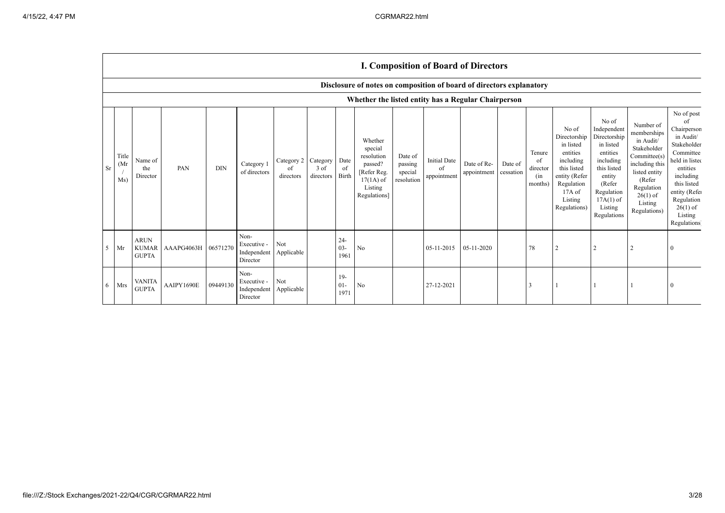|                |                                                     |                                             |                     |            |                                                |                               |                               |                          |                                                                                                      |                                             |                                          | <b>I. Composition of Board of Directors</b> |                      |                                            |                                                                                                                                                  |                                                                                                                                                                      |                                                                                                                                                                          |                                                                                                                                                                                                                  |
|----------------|-----------------------------------------------------|---------------------------------------------|---------------------|------------|------------------------------------------------|-------------------------------|-------------------------------|--------------------------|------------------------------------------------------------------------------------------------------|---------------------------------------------|------------------------------------------|---------------------------------------------|----------------------|--------------------------------------------|--------------------------------------------------------------------------------------------------------------------------------------------------|----------------------------------------------------------------------------------------------------------------------------------------------------------------------|--------------------------------------------------------------------------------------------------------------------------------------------------------------------------|------------------------------------------------------------------------------------------------------------------------------------------------------------------------------------------------------------------|
|                |                                                     |                                             |                     |            |                                                |                               |                               |                          | Disclosure of notes on composition of board of directors explanatory                                 |                                             |                                          |                                             |                      |                                            |                                                                                                                                                  |                                                                                                                                                                      |                                                                                                                                                                          |                                                                                                                                                                                                                  |
|                | Whether the listed entity has a Regular Chairperson |                                             |                     |            |                                                |                               |                               |                          |                                                                                                      |                                             |                                          |                                             |                      |                                            |                                                                                                                                                  |                                                                                                                                                                      |                                                                                                                                                                          |                                                                                                                                                                                                                  |
| Sr             | Title<br>(Mr)<br>Ms)                                | Name of<br>the<br>Director                  | PAN                 | <b>DIN</b> | Category 1<br>of directors                     | Category 2<br>οf<br>directors | Category<br>3 of<br>directors | Date<br>of<br>Birth      | Whether<br>special<br>resolution<br>passed?<br>[Refer Reg.<br>$17(1A)$ of<br>Listing<br>Regulations] | Date of<br>passing<br>special<br>resolution | <b>Initial Date</b><br>of<br>appointment | Date of Re-<br>appointment                  | Date of<br>cessation | Tenure<br>of<br>director<br>(in<br>months) | No of<br>Directorship<br>in listed<br>entities<br>including<br>this listed<br>entity (Refer<br>Regulation<br>$17A$ of<br>Listing<br>Regulations) | No of<br>Independent<br>Directorship<br>in listed<br>entities<br>including<br>this listed<br>entity<br>(Refer<br>Regulation<br>$17A(1)$ of<br>Listing<br>Regulations | Number of<br>memberships<br>in Audit/<br>Stakeholder<br>Committee(s)<br>including this<br>listed entity<br>(Refer<br>Regulation<br>$26(1)$ of<br>Listing<br>Regulations) | No of post<br>of<br>Chairperson<br>in Audit/<br>Stakeholder<br>Committee<br>held in listed<br>entities<br>including<br>this listed<br>entity (Refer<br>Regulation<br>$26(1)$ of<br>Listing<br><b>Regulations</b> |
| 5 <sup>5</sup> | Mr                                                  | <b>ARUN</b><br><b>KUMAR</b><br><b>GUPTA</b> | AAAPG4063H 06571270 |            | Non-<br>Executive -<br>Independent<br>Director | Not<br>Applicable             |                               | $24 -$<br>$03 -$<br>1961 | No                                                                                                   |                                             | 05-11-2015                               | 05-11-2020                                  |                      | 78                                         | 2                                                                                                                                                | 2                                                                                                                                                                    |                                                                                                                                                                          |                                                                                                                                                                                                                  |
| 6              | Mrs                                                 | <b>VANITA</b><br><b>GUPTA</b>               | AAIPY1690E          | 09449130   | Non-<br>Executive -<br>Independent<br>Director | Not<br>Applicable             |                               | $19-$<br>$01-$<br>1971   | No                                                                                                   |                                             | 27-12-2021                               |                                             |                      |                                            |                                                                                                                                                  |                                                                                                                                                                      |                                                                                                                                                                          |                                                                                                                                                                                                                  |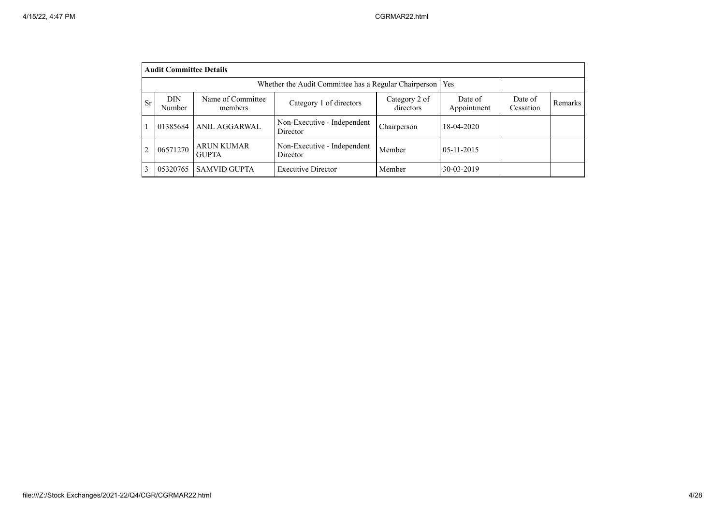|                | <b>Audit Committee Details</b>                                        |                                   |                                         |                            |                        |                      |         |  |  |  |  |  |
|----------------|-----------------------------------------------------------------------|-----------------------------------|-----------------------------------------|----------------------------|------------------------|----------------------|---------|--|--|--|--|--|
|                | Whether the Audit Committee has a Regular Chairperson  <br><b>Yes</b> |                                   |                                         |                            |                        |                      |         |  |  |  |  |  |
| <b>Sr</b>      | DIN<br>Number                                                         | Name of Committee<br>members      | Category 1 of directors                 | Category 2 of<br>directors | Date of<br>Appointment | Date of<br>Cessation | Remarks |  |  |  |  |  |
|                | 01385684                                                              | ANIL AGGARWAL                     | Non-Executive - Independent<br>Director | Chairperson                | 18-04-2020             |                      |         |  |  |  |  |  |
| $\overline{c}$ | 06571270                                                              | <b>ARUN KUMAR</b><br><b>GUPTA</b> | Non-Executive - Independent<br>Director | Member                     | $05-11-2015$           |                      |         |  |  |  |  |  |
| 3              | 05320765                                                              | <b>SAMVID GUPTA</b>               | <b>Executive Director</b>               | Member                     | 30-03-2019             |                      |         |  |  |  |  |  |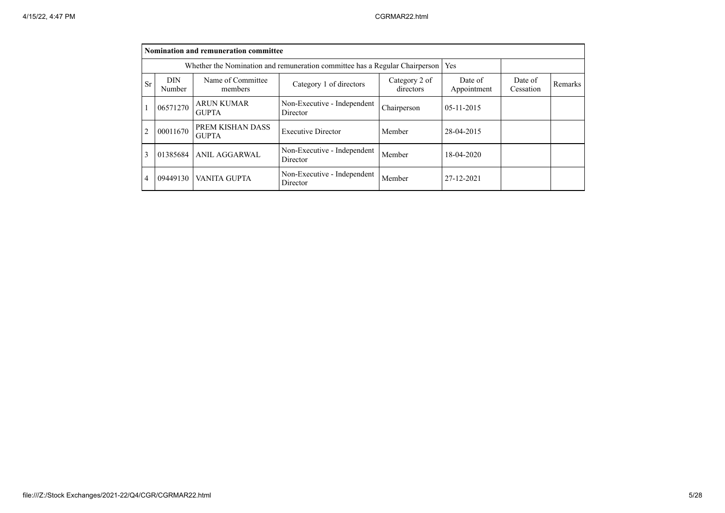|                |                      | Nomination and remuneration committee |                                                                             |                      |              |  |  |
|----------------|----------------------|---------------------------------------|-----------------------------------------------------------------------------|----------------------|--------------|--|--|
|                |                      |                                       | Whether the Nomination and remuneration committee has a Regular Chairperson |                      | Yes          |  |  |
| Sr             | <b>DIN</b><br>Number | Name of Committee<br>members          | Date of<br>Appointment                                                      | Date of<br>Cessation | Remarks      |  |  |
|                | 06571270             | <b>ARUN KUMAR</b><br><b>GUPTA</b>     | Non-Executive - Independent<br>Director                                     | Chairperson          | $05-11-2015$ |  |  |
| $\overline{c}$ | 00011670             | PREM KISHAN DASS<br><b>GUPTA</b>      | <b>Executive Director</b>                                                   | Member               | 28-04-2015   |  |  |
| 3              | 01385684             | ANIL AGGARWAL                         | Non-Executive - Independent<br>Director                                     | Member               | 18-04-2020   |  |  |
| 4              | 09449130             | VANITA GUPTA                          | Non-Executive - Independent<br>Director                                     | Member               | 27-12-2021   |  |  |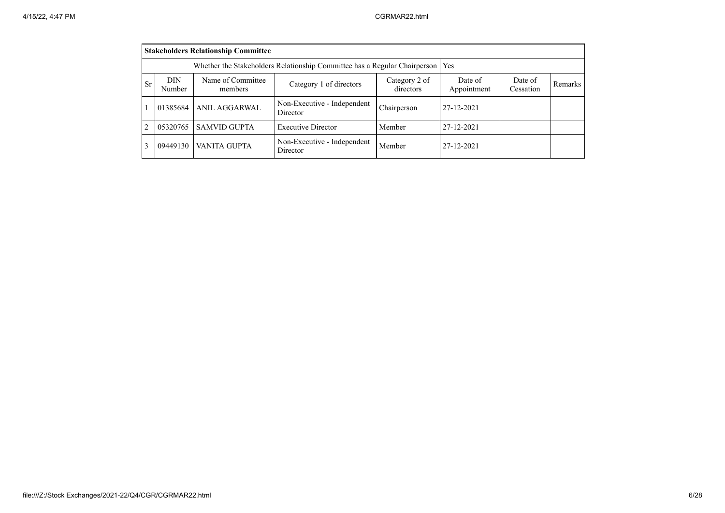|                                                                                                                                                                                  | <b>Stakeholders Relationship Committee</b>                                |                     |                                         |             |            |  |  |  |  |  |  |
|----------------------------------------------------------------------------------------------------------------------------------------------------------------------------------|---------------------------------------------------------------------------|---------------------|-----------------------------------------|-------------|------------|--|--|--|--|--|--|
|                                                                                                                                                                                  | Whether the Stakeholders Relationship Committee has a Regular Chairperson |                     |                                         |             |            |  |  |  |  |  |  |
| Name of Committee<br>DIN<br>Category 2 of<br>Date of<br>Date of<br><b>Sr</b><br>Category 1 of directors<br>Remarks<br>directors<br>Appointment<br>Number<br>Cessation<br>members |                                                                           |                     |                                         |             |            |  |  |  |  |  |  |
|                                                                                                                                                                                  | 01385684                                                                  | ANIL AGGARWAL       | Non-Executive - Independent<br>Director | Chairperson | 27-12-2021 |  |  |  |  |  |  |
| $\overline{c}$                                                                                                                                                                   | 05320765                                                                  | <b>SAMVID GUPTA</b> | <b>Executive Director</b>               | Member      | 27-12-2021 |  |  |  |  |  |  |
| 3                                                                                                                                                                                | 09449130                                                                  | VANITA GUPTA        | Non-Executive - Independent<br>Director | Member      | 27-12-2021 |  |  |  |  |  |  |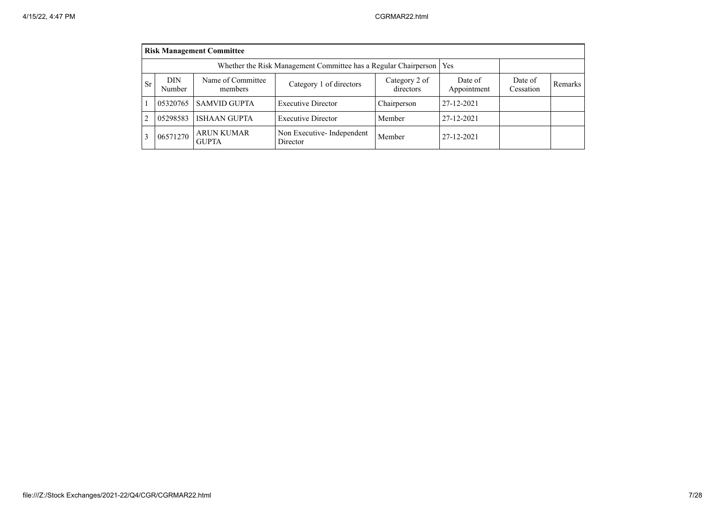|                |                                                                       | <b>Risk Management Committee</b>  |                                       |                      |            |  |  |  |  |  |  |  |
|----------------|-----------------------------------------------------------------------|-----------------------------------|---------------------------------------|----------------------|------------|--|--|--|--|--|--|--|
|                | Whether the Risk Management Committee has a Regular Chairperson   Yes |                                   |                                       |                      |            |  |  |  |  |  |  |  |
| <b>Sr</b>      | <b>DIN</b><br>Number                                                  | Name of Committee<br>members      | Date of<br>Appointment                | Date of<br>Cessation | Remarks    |  |  |  |  |  |  |  |
|                | 05320765                                                              | <b>SAMVID GUPTA</b>               | <b>Executive Director</b>             | Chairperson          | 27-12-2021 |  |  |  |  |  |  |  |
| $\overline{c}$ | 05298583                                                              | <b>ISHAAN GUPTA</b>               | <b>Executive Director</b>             | Member               | 27-12-2021 |  |  |  |  |  |  |  |
| 3              | 06571270                                                              | <b>ARUN KUMAR</b><br><b>GUPTA</b> | Non Executive-Independent<br>Director | Member               | 27-12-2021 |  |  |  |  |  |  |  |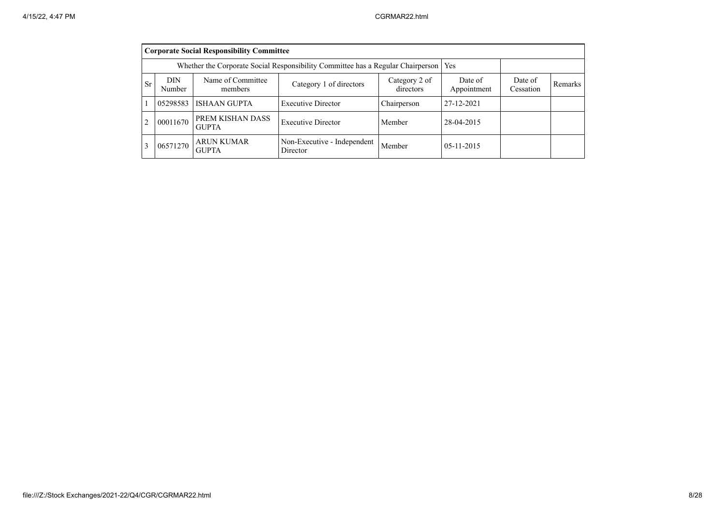|    | <b>Corporate Social Responsibility Committee</b>                                      |                                   |                                         |             |              |  |  |  |  |  |  |  |
|----|---------------------------------------------------------------------------------------|-----------------------------------|-----------------------------------------|-------------|--------------|--|--|--|--|--|--|--|
|    | Whether the Corporate Social Responsibility Committee has a Regular Chairperson   Yes |                                   |                                         |             |              |  |  |  |  |  |  |  |
| Sr | <b>DIN</b><br>Number                                                                  | Date of<br>Cessation              | Remarks                                 |             |              |  |  |  |  |  |  |  |
|    | 05298583                                                                              | <b>ISHAAN GUPTA</b>               | <b>Executive Director</b>               | Chairperson | 27-12-2021   |  |  |  |  |  |  |  |
|    | 00011670                                                                              | PREM KISHAN DASS<br><b>GUPTA</b>  | <b>Executive Director</b>               | Member      | 28-04-2015   |  |  |  |  |  |  |  |
|    | 06571270                                                                              | <b>ARUN KUMAR</b><br><b>GUPTA</b> | Non-Executive - Independent<br>Director | Member      | $05-11-2015$ |  |  |  |  |  |  |  |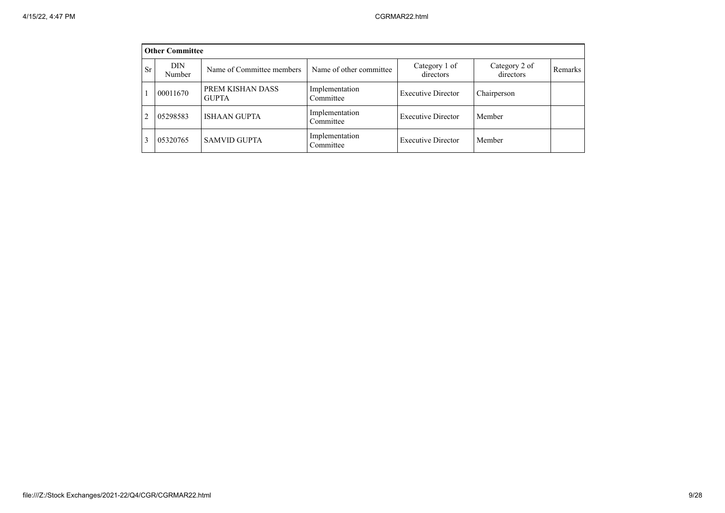|           | <b>Other Committee</b> |                                  |                             |                            |                            |         |
|-----------|------------------------|----------------------------------|-----------------------------|----------------------------|----------------------------|---------|
| <b>Sr</b> | DIN<br>Number          | Name of Committee members        | Name of other committee     | Category 1 of<br>directors | Category 2 of<br>directors | Remarks |
|           | 00011670               | PREM KISHAN DASS<br><b>GUPTA</b> | Implementation<br>Committee | <b>Executive Director</b>  | Chairperson                |         |
| 2         | 05298583               | <b>ISHAAN GUPTA</b>              | Implementation<br>Committee | <b>Executive Director</b>  | Member                     |         |
|           | 05320765               | <b>SAMVID GUPTA</b>              | Implementation<br>Committee | <b>Executive Director</b>  | Member                     |         |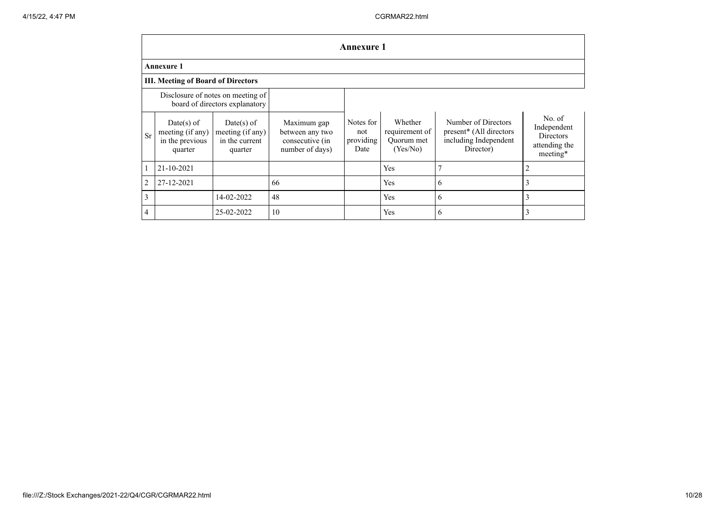|                | Annexure 1                                                          |                                                               |                                                                      |                                       |                                                     |                                                                                      |                                                                        |  |  |  |  |  |  |
|----------------|---------------------------------------------------------------------|---------------------------------------------------------------|----------------------------------------------------------------------|---------------------------------------|-----------------------------------------------------|--------------------------------------------------------------------------------------|------------------------------------------------------------------------|--|--|--|--|--|--|
|                | Annexure 1                                                          |                                                               |                                                                      |                                       |                                                     |                                                                                      |                                                                        |  |  |  |  |  |  |
|                | <b>III. Meeting of Board of Directors</b>                           |                                                               |                                                                      |                                       |                                                     |                                                                                      |                                                                        |  |  |  |  |  |  |
|                | Disclosure of notes on meeting of<br>board of directors explanatory |                                                               |                                                                      |                                       |                                                     |                                                                                      |                                                                        |  |  |  |  |  |  |
| <b>Sr</b>      | $Date(s)$ of<br>meeting (if any)<br>in the previous<br>quarter      | $Date(s)$ of<br>meeting (if any)<br>in the current<br>quarter | Maximum gap<br>between any two<br>consecutive (in<br>number of days) | Notes for<br>not<br>providing<br>Date | Whether<br>requirement of<br>Ouorum met<br>(Yes/No) | Number of Directors<br>present* (All directors<br>including Independent<br>Director) | No. of<br>Independent<br><b>Directors</b><br>attending the<br>meeting* |  |  |  |  |  |  |
|                | 21-10-2021                                                          |                                                               |                                                                      |                                       | Yes                                                 | 7                                                                                    | $\overline{2}$                                                         |  |  |  |  |  |  |
| 2              | 27-12-2021                                                          |                                                               | 66                                                                   |                                       | Yes                                                 | 6                                                                                    | 3                                                                      |  |  |  |  |  |  |
| 3              |                                                                     | 14-02-2022                                                    | 48                                                                   |                                       | Yes                                                 | 6                                                                                    | 3                                                                      |  |  |  |  |  |  |
| $\overline{4}$ |                                                                     | 25-02-2022                                                    | 10                                                                   |                                       | Yes                                                 | 6                                                                                    | 3                                                                      |  |  |  |  |  |  |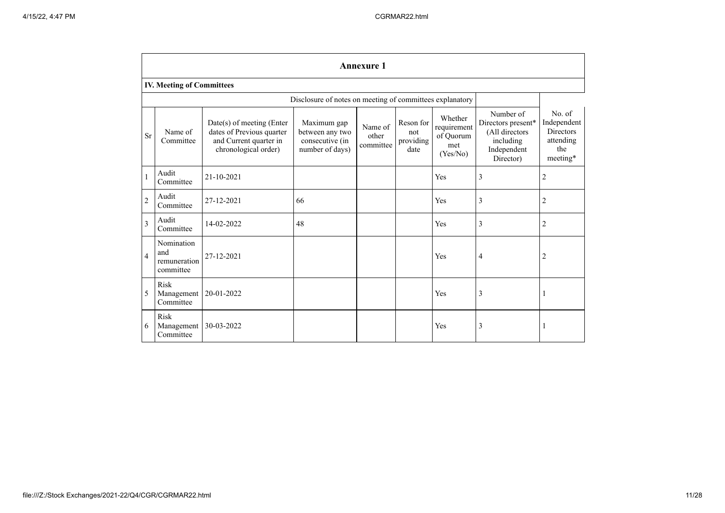|                | <b>Annexure 1</b>                              |                                                                                                          |                                                                      |                               |                                       |                                                        |                                                                                            |                                                                           |  |  |  |  |
|----------------|------------------------------------------------|----------------------------------------------------------------------------------------------------------|----------------------------------------------------------------------|-------------------------------|---------------------------------------|--------------------------------------------------------|--------------------------------------------------------------------------------------------|---------------------------------------------------------------------------|--|--|--|--|
|                | <b>IV. Meeting of Committees</b>               |                                                                                                          |                                                                      |                               |                                       |                                                        |                                                                                            |                                                                           |  |  |  |  |
|                |                                                |                                                                                                          | Disclosure of notes on meeting of committees explanatory             |                               |                                       |                                                        |                                                                                            |                                                                           |  |  |  |  |
| <b>Sr</b>      | Name of<br>Committee                           | Date(s) of meeting (Enter<br>dates of Previous quarter<br>and Current quarter in<br>chronological order) | Maximum gap<br>between any two<br>consecutive (in<br>number of days) | Name of<br>other<br>committee | Reson for<br>not<br>providing<br>date | Whether<br>requirement<br>of Quorum<br>met<br>(Yes/No) | Number of<br>Directors present*<br>(All directors<br>including<br>Independent<br>Director) | No. of<br>Independent<br><b>Directors</b><br>attending<br>the<br>meeting* |  |  |  |  |
| $\mathbf{1}$   | Audit<br>Committee                             | 21-10-2021                                                                                               |                                                                      |                               |                                       | Yes                                                    | 3                                                                                          | $\sqrt{2}$                                                                |  |  |  |  |
| $\overline{2}$ | Audit<br>Committee                             | 27-12-2021                                                                                               | 66                                                                   |                               |                                       | Yes                                                    | 3                                                                                          | $\sqrt{2}$                                                                |  |  |  |  |
| 3              | Audit<br>Committee                             | 14-02-2022                                                                                               | 48                                                                   |                               |                                       | Yes                                                    | 3                                                                                          | $\overline{2}$                                                            |  |  |  |  |
| $\overline{4}$ | Nomination<br>and<br>remuneration<br>committee | 27-12-2021                                                                                               |                                                                      |                               |                                       | Yes                                                    | 4                                                                                          | $\overline{2}$                                                            |  |  |  |  |
| 5              | Risk<br>Management<br>Committee                | 20-01-2022                                                                                               |                                                                      |                               |                                       | Yes                                                    | 3                                                                                          | 1                                                                         |  |  |  |  |
| 6              | Risk<br>Management<br>Committee                | 30-03-2022                                                                                               |                                                                      |                               |                                       | Yes                                                    | 3                                                                                          | 1                                                                         |  |  |  |  |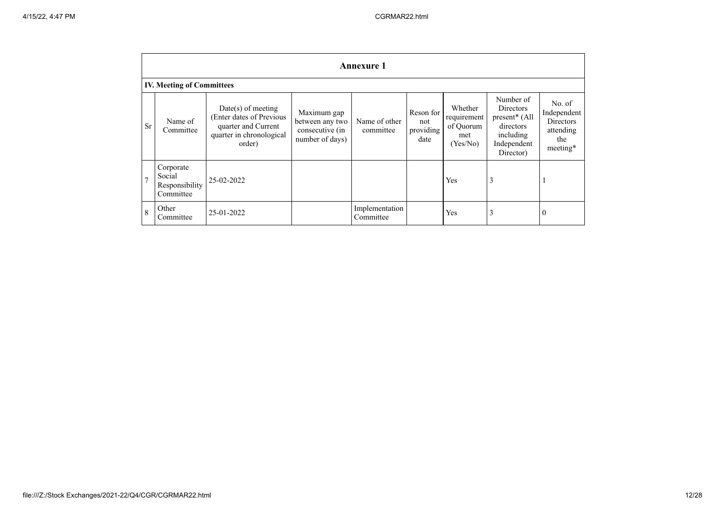|                | <b>Annexure 1</b>                                  |                                                                                                               |                                                                      |                             |                                       |                                                        |                                                                                                      |                                                                           |
|----------------|----------------------------------------------------|---------------------------------------------------------------------------------------------------------------|----------------------------------------------------------------------|-----------------------------|---------------------------------------|--------------------------------------------------------|------------------------------------------------------------------------------------------------------|---------------------------------------------------------------------------|
|                | <b>IV. Meeting of Committees</b>                   |                                                                                                               |                                                                      |                             |                                       |                                                        |                                                                                                      |                                                                           |
| Sr             | Name of<br>Committee                               | $Date(s)$ of meeting<br>(Enter dates of Previous<br>quarter and Current<br>quarter in chronological<br>order) | Maximum gap<br>between any two<br>consecutive (in<br>number of days) | Name of other<br>committee  | Reson for<br>not<br>providing<br>date | Whether<br>requirement<br>of Quorum<br>met<br>(Yes/No) | Number of<br><b>Directors</b><br>present* (All<br>directors<br>including<br>Independent<br>Director) | No. of<br>Independent<br><b>Directors</b><br>attending<br>the<br>meeting* |
| $\overline{7}$ | Corporate<br>Social<br>Responsibility<br>Committee | 25-02-2022                                                                                                    |                                                                      |                             |                                       | Yes                                                    | 3                                                                                                    | 1                                                                         |
| 8              | Other<br>Committee                                 | 25-01-2022                                                                                                    |                                                                      | Implementation<br>Committee |                                       | Yes                                                    | 3                                                                                                    | $\theta$                                                                  |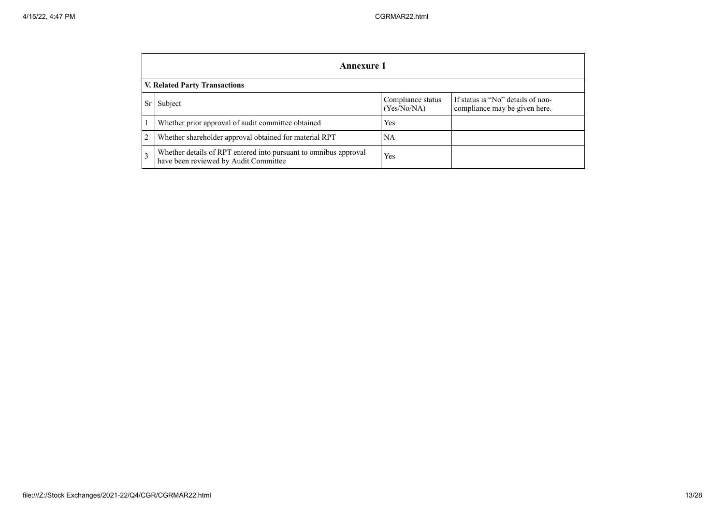|    | Annexure 1                                                                                                |                                  |                                                                    |  |  |
|----|-----------------------------------------------------------------------------------------------------------|----------------------------------|--------------------------------------------------------------------|--|--|
|    | V. Related Party Transactions                                                                             |                                  |                                                                    |  |  |
| Sr | Subject                                                                                                   | Compliance status<br>(Yes/No/NA) | If status is "No" details of non-<br>compliance may be given here. |  |  |
|    | Whether prior approval of audit committee obtained                                                        | Yes                              |                                                                    |  |  |
| 2  | Whether shareholder approval obtained for material RPT                                                    | NA.                              |                                                                    |  |  |
| 3  | Whether details of RPT entered into pursuant to omnibus approval<br>have been reviewed by Audit Committee | Yes                              |                                                                    |  |  |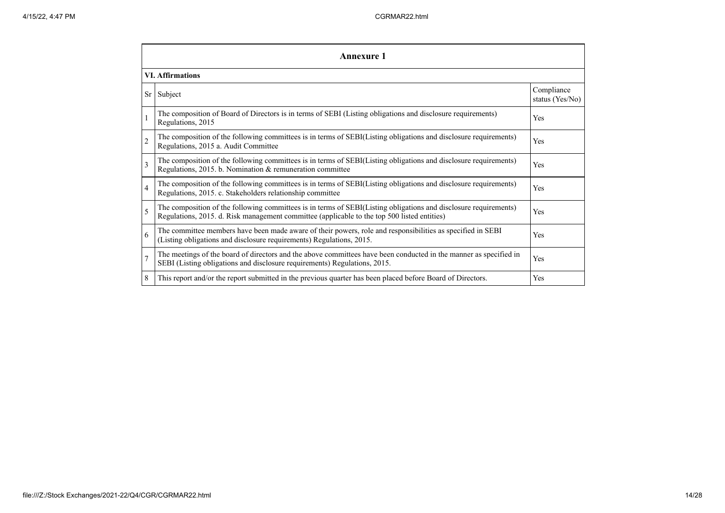|                | <b>Annexure 1</b>                                                                                                                                                                                               |                               |  |  |  |
|----------------|-----------------------------------------------------------------------------------------------------------------------------------------------------------------------------------------------------------------|-------------------------------|--|--|--|
|                | <b>VI. Affirmations</b>                                                                                                                                                                                         |                               |  |  |  |
|                | Sr Subject                                                                                                                                                                                                      | Compliance<br>status (Yes/No) |  |  |  |
|                | The composition of Board of Directors is in terms of SEBI (Listing obligations and disclosure requirements)<br>Regulations, 2015                                                                                | Yes                           |  |  |  |
| $\overline{c}$ | The composition of the following committees is in terms of SEBI(Listing obligations and disclosure requirements)<br>Regulations, 2015 a. Audit Committee                                                        | Yes                           |  |  |  |
| 3              | The composition of the following committees is in terms of SEBI(Listing obligations and disclosure requirements)<br>Regulations, 2015. b. Nomination & remuneration committee                                   | Yes                           |  |  |  |
| $\overline{4}$ | The composition of the following committees is in terms of SEBI(Listing obligations and disclosure requirements)<br>Regulations, 2015. c. Stakeholders relationship committee                                   | Yes                           |  |  |  |
| 5              | The composition of the following committees is in terms of SEBI(Listing obligations and disclosure requirements)<br>Regulations, 2015. d. Risk management committee (applicable to the top 500 listed entities) | Yes                           |  |  |  |
| 6              | The committee members have been made aware of their powers, role and responsibilities as specified in SEBI<br>(Listing obligations and disclosure requirements) Regulations, 2015.                              | Yes                           |  |  |  |
| $\overline{7}$ | The meetings of the board of directors and the above committees have been conducted in the manner as specified in<br>SEBI (Listing obligations and disclosure requirements) Regulations, 2015.                  | Yes                           |  |  |  |
| 8              | This report and/or the report submitted in the previous quarter has been placed before Board of Directors.                                                                                                      | Yes                           |  |  |  |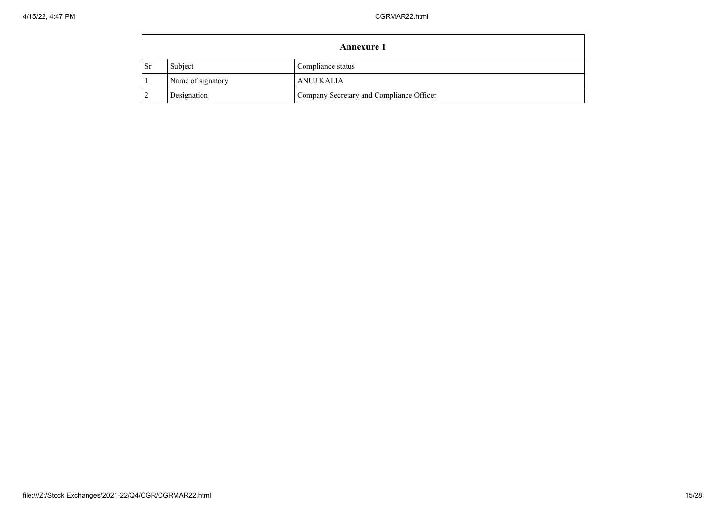|    | <b>Annexure 1</b> |                                          |  |  |
|----|-------------------|------------------------------------------|--|--|
| Sr | Subject           | Compliance status                        |  |  |
|    | Name of signatory | ANUJ KALIA                               |  |  |
|    | Designation       | Company Secretary and Compliance Officer |  |  |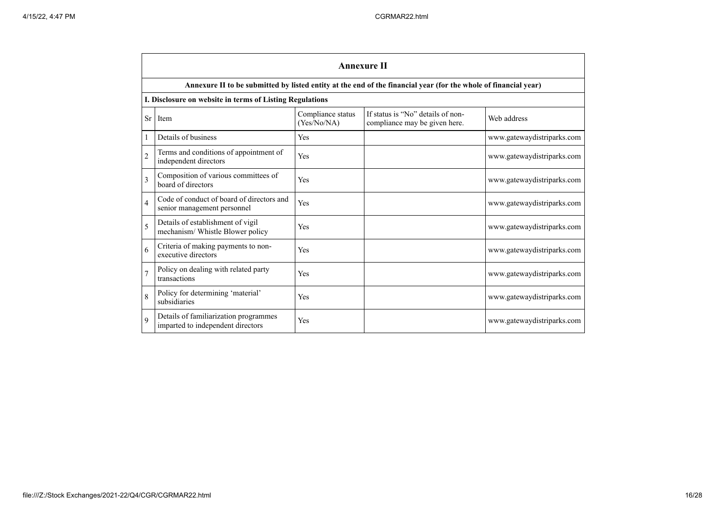|                | <b>Annexure II</b>                                                         |                                  |                                                                                                                 |                            |  |
|----------------|----------------------------------------------------------------------------|----------------------------------|-----------------------------------------------------------------------------------------------------------------|----------------------------|--|
|                |                                                                            |                                  | Annexure II to be submitted by listed entity at the end of the financial year (for the whole of financial year) |                            |  |
|                | I. Disclosure on website in terms of Listing Regulations                   |                                  |                                                                                                                 |                            |  |
| <b>Sr</b>      | Item                                                                       | Compliance status<br>(Yes/No/NA) | If status is "No" details of non-<br>compliance may be given here.                                              | Web address                |  |
| 1              | Details of business                                                        | Yes                              |                                                                                                                 | www.gatewaydistriparks.com |  |
| $\overline{2}$ | Terms and conditions of appointment of<br>independent directors            | Yes                              |                                                                                                                 | www.gatewaydistriparks.com |  |
| $\mathcal{E}$  | Composition of various committees of<br>board of directors                 | Yes                              |                                                                                                                 | www.gatewaydistriparks.com |  |
| $\overline{4}$ | Code of conduct of board of directors and<br>senior management personnel   | Yes                              |                                                                                                                 | www.gatewaydistriparks.com |  |
| 5              | Details of establishment of vigil<br>mechanism/ Whistle Blower policy      | Yes                              |                                                                                                                 | www.gatewaydistriparks.com |  |
| 6              | Criteria of making payments to non-<br>executive directors                 | Yes                              |                                                                                                                 | www.gatewaydistriparks.com |  |
| $\overline{7}$ | Policy on dealing with related party<br>transactions                       | Yes                              |                                                                                                                 | www.gatewaydistriparks.com |  |
| 8              | Policy for determining 'material'<br>subsidiaries                          | Yes                              |                                                                                                                 | www.gatewaydistriparks.com |  |
| $\mathbf Q$    | Details of familiarization programmes<br>imparted to independent directors | Yes                              |                                                                                                                 | www.gatewaydistriparks.com |  |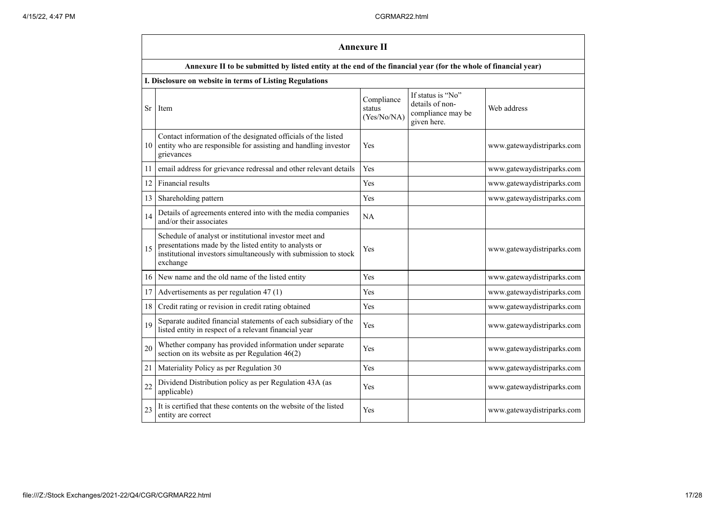|    | <b>Annexure II</b>                                                                                                                                                                              |                                     |                                                                          |                            |
|----|-------------------------------------------------------------------------------------------------------------------------------------------------------------------------------------------------|-------------------------------------|--------------------------------------------------------------------------|----------------------------|
|    | Annexure II to be submitted by listed entity at the end of the financial year (for the whole of financial year)                                                                                 |                                     |                                                                          |                            |
|    | I. Disclosure on website in terms of Listing Regulations                                                                                                                                        |                                     |                                                                          |                            |
|    | Sr Item                                                                                                                                                                                         | Compliance<br>status<br>(Yes/No/NA) | If status is "No"<br>details of non-<br>compliance may be<br>given here. | Web address                |
| 10 | Contact information of the designated officials of the listed<br>entity who are responsible for assisting and handling investor<br>grievances                                                   | Yes                                 |                                                                          | www.gatewaydistriparks.com |
| 11 | email address for grievance redressal and other relevant details                                                                                                                                | Yes                                 |                                                                          | www.gatewaydistriparks.com |
| 12 | Financial results                                                                                                                                                                               | Yes                                 |                                                                          | www.gatewaydistriparks.com |
| 13 | Shareholding pattern                                                                                                                                                                            | Yes                                 |                                                                          | www.gatewaydistriparks.com |
| 14 | Details of agreements entered into with the media companies<br>and/or their associates                                                                                                          | NA                                  |                                                                          |                            |
| 15 | Schedule of analyst or institutional investor meet and<br>presentations made by the listed entity to analysts or<br>institutional investors simultaneously with submission to stock<br>exchange | Yes                                 |                                                                          | www.gatewaydistriparks.com |
| 16 | New name and the old name of the listed entity                                                                                                                                                  | Yes                                 |                                                                          | www.gatewaydistriparks.com |
| 17 | Advertisements as per regulation 47 (1)                                                                                                                                                         | Yes                                 |                                                                          | www.gatewaydistriparks.com |
| 18 | Credit rating or revision in credit rating obtained                                                                                                                                             | Yes                                 |                                                                          | www.gatewaydistriparks.com |
| 19 | Separate audited financial statements of each subsidiary of the<br>listed entity in respect of a relevant financial year                                                                        | Yes                                 |                                                                          | www.gatewaydistriparks.com |
| 20 | Whether company has provided information under separate<br>section on its website as per Regulation 46(2)                                                                                       | Yes                                 |                                                                          | www.gatewaydistriparks.com |
| 21 | Materiality Policy as per Regulation 30                                                                                                                                                         | Yes                                 |                                                                          | www.gatewaydistriparks.com |
| 22 | Dividend Distribution policy as per Regulation 43A (as<br>applicable)                                                                                                                           | Yes                                 |                                                                          | www.gatewaydistriparks.com |
| 23 | It is certified that these contents on the website of the listed<br>entity are correct                                                                                                          | Yes                                 |                                                                          | www.gatewaydistriparks.com |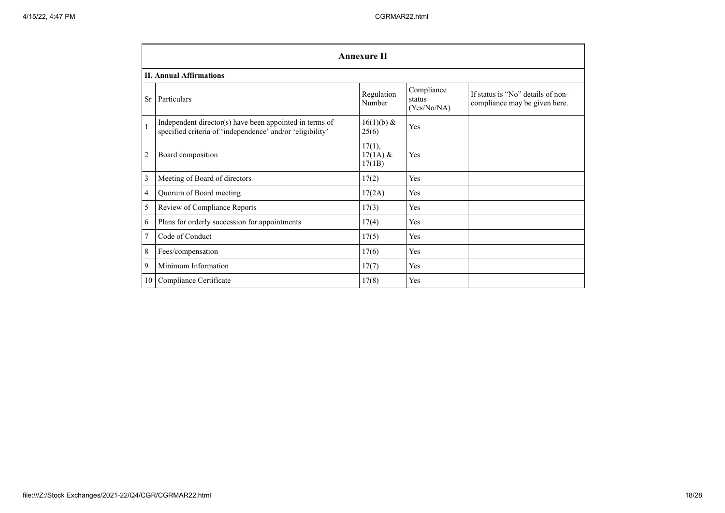|                | <b>Annexure II</b>                                                                                                   |                                |                                     |                                                                    |  |
|----------------|----------------------------------------------------------------------------------------------------------------------|--------------------------------|-------------------------------------|--------------------------------------------------------------------|--|
|                | <b>II. Annual Affirmations</b>                                                                                       |                                |                                     |                                                                    |  |
| Sr             | Particulars                                                                                                          | Regulation<br>Number           | Compliance<br>status<br>(Yes/No/NA) | If status is "No" details of non-<br>compliance may be given here. |  |
| $\mathbf{1}$   | Independent director(s) have been appointed in terms of<br>specified criteria of 'independence' and/or 'eligibility' | $16(1)(b) \&$<br>25(6)         | Yes                                 |                                                                    |  |
| $\overline{c}$ | Board composition                                                                                                    | 17(1),<br>$17(1A)$ &<br>17(1B) | Yes                                 |                                                                    |  |
| 3              | Meeting of Board of directors                                                                                        | 17(2)                          | Yes                                 |                                                                    |  |
| 4              | Quorum of Board meeting                                                                                              | 17(2A)                         | Yes                                 |                                                                    |  |
| 5              | Review of Compliance Reports                                                                                         | 17(3)                          | Yes                                 |                                                                    |  |
| 6              | Plans for orderly succession for appointments                                                                        | 17(4)                          | Yes                                 |                                                                    |  |
| $\overline{7}$ | Code of Conduct                                                                                                      | 17(5)                          | Yes                                 |                                                                    |  |
| 8              | Fees/compensation                                                                                                    | 17(6)                          | Yes                                 |                                                                    |  |
| 9              | Minimum Information                                                                                                  | 17(7)                          | Yes                                 |                                                                    |  |
| 10             | Compliance Certificate                                                                                               | 17(8)                          | Yes                                 |                                                                    |  |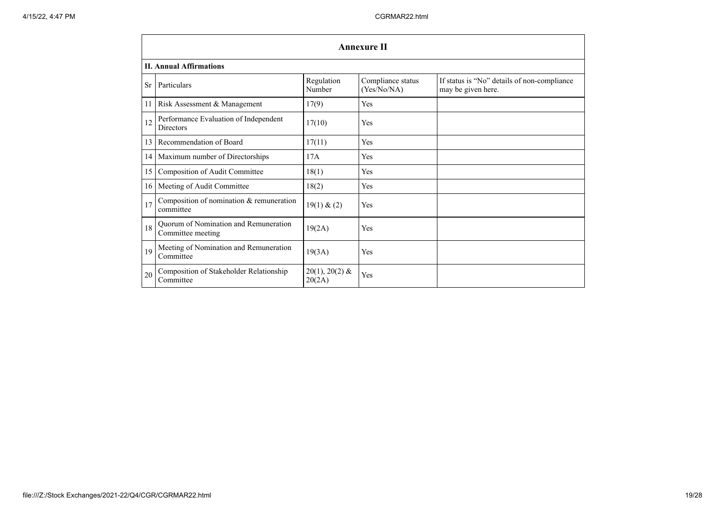|                 | <b>Annexure II</b>                                         |                            |                                  |                                                                   |  |
|-----------------|------------------------------------------------------------|----------------------------|----------------------------------|-------------------------------------------------------------------|--|
|                 | <b>II. Annual Affirmations</b>                             |                            |                                  |                                                                   |  |
| <b>Sr</b>       | Particulars                                                | Regulation<br>Number       | Compliance status<br>(Yes/No/NA) | If status is "No" details of non-compliance<br>may be given here. |  |
| 11              | Risk Assessment & Management                               | 17(9)                      | Yes                              |                                                                   |  |
| 12              | Performance Evaluation of Independent<br><b>Directors</b>  | 17(10)                     | Yes                              |                                                                   |  |
| 13              | Recommendation of Board                                    | 17(11)                     | Yes                              |                                                                   |  |
| 14              | Maximum number of Directorships                            | 17A                        | Yes                              |                                                                   |  |
| 15              | Composition of Audit Committee                             | 18(1)                      | Yes                              |                                                                   |  |
| 16 <sup>1</sup> | Meeting of Audit Committee                                 | 18(2)                      | Yes                              |                                                                   |  |
| 17              | Composition of nomination & remuneration<br>committee      | 19(1) & (2)                | Yes                              |                                                                   |  |
| 18              | Quorum of Nomination and Remuneration<br>Committee meeting | 19(2A)                     | Yes                              |                                                                   |  |
| 19              | Meeting of Nomination and Remuneration<br>Committee        | 19(3A)                     | Yes                              |                                                                   |  |
| 20              | Composition of Stakeholder Relationship<br>Committee       | $20(1), 20(2)$ &<br>20(2A) | Yes                              |                                                                   |  |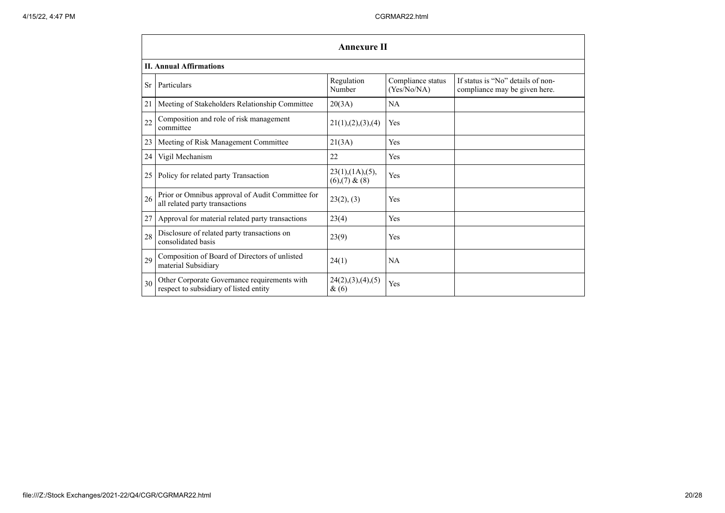|           | <b>Annexure II</b>                                                                     |                                                |                                  |                                                                    |  |
|-----------|----------------------------------------------------------------------------------------|------------------------------------------------|----------------------------------|--------------------------------------------------------------------|--|
|           | <b>II. Annual Affirmations</b>                                                         |                                                |                                  |                                                                    |  |
| <b>Sr</b> | Particulars                                                                            | Regulation<br>Number                           | Compliance status<br>(Yes/No/NA) | If status is "No" details of non-<br>compliance may be given here. |  |
| 21        | Meeting of Stakeholders Relationship Committee                                         | 20(3A)                                         | <b>NA</b>                        |                                                                    |  |
| 22        | Composition and role of risk management<br>committee                                   | 21(1), (2), (3), (4)                           | Yes                              |                                                                    |  |
| 23        | Meeting of Risk Management Committee                                                   | 21(3A)                                         | Yes                              |                                                                    |  |
| 24        | Vigil Mechanism                                                                        | 22                                             | Yes                              |                                                                    |  |
| 25        | Policy for related party Transaction                                                   | $23(1)$ , $(1A)$ , $(5)$ ,<br>$(6)(7)$ & $(8)$ | Yes                              |                                                                    |  |
| 26        | Prior or Omnibus approval of Audit Committee for<br>all related party transactions     | 23(2), (3)                                     | Yes                              |                                                                    |  |
| 27        | Approval for material related party transactions                                       | 23(4)                                          | Yes                              |                                                                    |  |
| 28        | Disclosure of related party transactions on<br>consolidated basis                      | 23(9)                                          | Yes                              |                                                                    |  |
| 29        | Composition of Board of Directors of unlisted<br>material Subsidiary                   | 24(1)                                          | NA                               |                                                                    |  |
| 30        | Other Corporate Governance requirements with<br>respect to subsidiary of listed entity | 24(2),(3),(4),(5)<br>&(6)                      | Yes                              |                                                                    |  |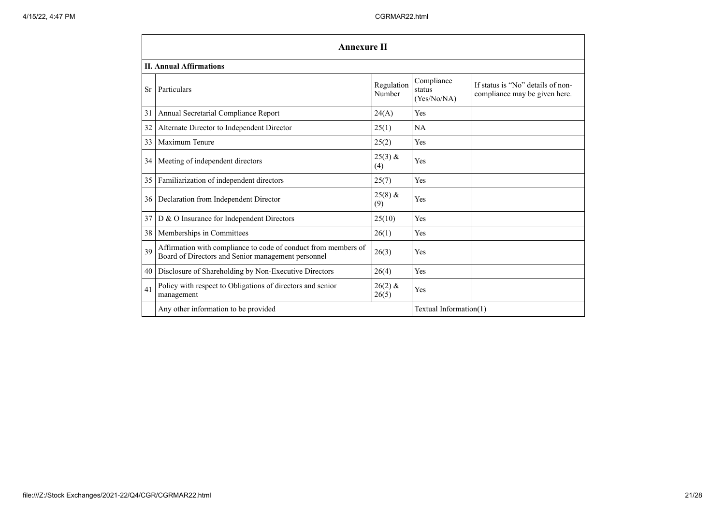|    | <b>Annexure II</b>                                                                                                   |                      |                                     |                                                                    |  |
|----|----------------------------------------------------------------------------------------------------------------------|----------------------|-------------------------------------|--------------------------------------------------------------------|--|
|    | <b>II. Annual Affirmations</b>                                                                                       |                      |                                     |                                                                    |  |
| Sr | Particulars                                                                                                          | Regulation<br>Number | Compliance<br>status<br>(Yes/No/NA) | If status is "No" details of non-<br>compliance may be given here. |  |
| 31 | Annual Secretarial Compliance Report                                                                                 | 24(A)                | Yes                                 |                                                                    |  |
| 32 | Alternate Director to Independent Director                                                                           | 25(1)                | NA                                  |                                                                    |  |
| 33 | Maximum Tenure                                                                                                       | 25(2)                | Yes                                 |                                                                    |  |
| 34 | Meeting of independent directors                                                                                     | $25(3)$ &<br>(4)     | Yes                                 |                                                                    |  |
| 35 | Familiarization of independent directors                                                                             | 25(7)                | Yes                                 |                                                                    |  |
| 36 | Declaration from Independent Director                                                                                | $25(8)$ &<br>(9)     | Yes                                 |                                                                    |  |
| 37 | D & O Insurance for Independent Directors                                                                            | 25(10)               | Yes                                 |                                                                    |  |
| 38 | Memberships in Committees                                                                                            | 26(1)                | Yes                                 |                                                                    |  |
| 39 | Affirmation with compliance to code of conduct from members of<br>Board of Directors and Senior management personnel | 26(3)                | Yes                                 |                                                                    |  |
| 40 | Disclosure of Shareholding by Non-Executive Directors                                                                | 26(4)                | Yes                                 |                                                                    |  |
| 41 | Policy with respect to Obligations of directors and senior<br>management                                             | $26(2)$ &<br>26(5)   | Yes                                 |                                                                    |  |
|    | Any other information to be provided                                                                                 |                      | Textual Information(1)              |                                                                    |  |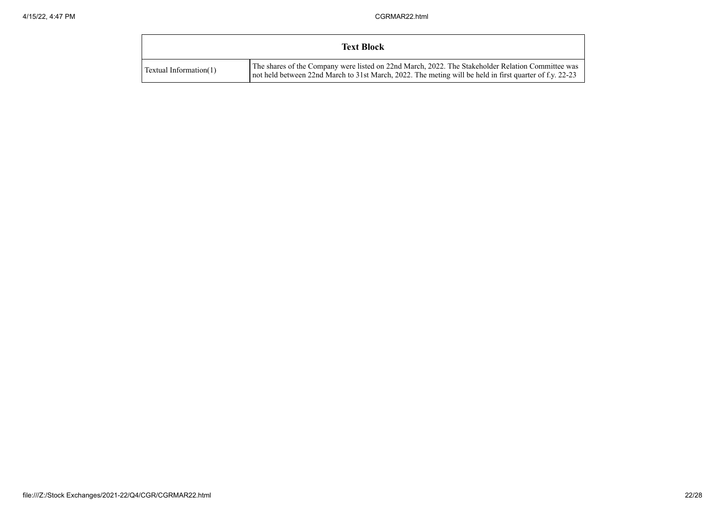|                           | <b>Text Block</b>                                                                                                                                                                                            |
|---------------------------|--------------------------------------------------------------------------------------------------------------------------------------------------------------------------------------------------------------|
| Textual Information $(1)$ | The shares of the Company were listed on 22nd March, 2022. The Stakeholder Relation Committee was<br>not held between 22nd March to 31st March, 2022. The meting will be held in first quarter of f.y. 22-23 |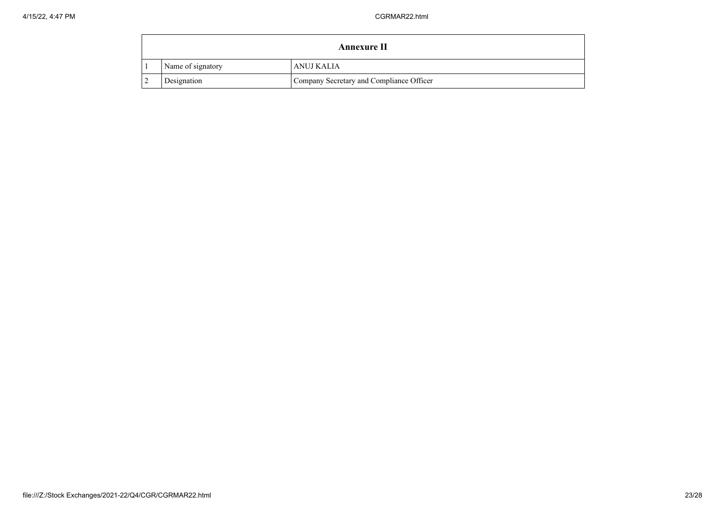|                   | Annexure II                              |
|-------------------|------------------------------------------|
| Name of signatory | ANUJ KALIA                               |
| Designation       | Company Secretary and Compliance Officer |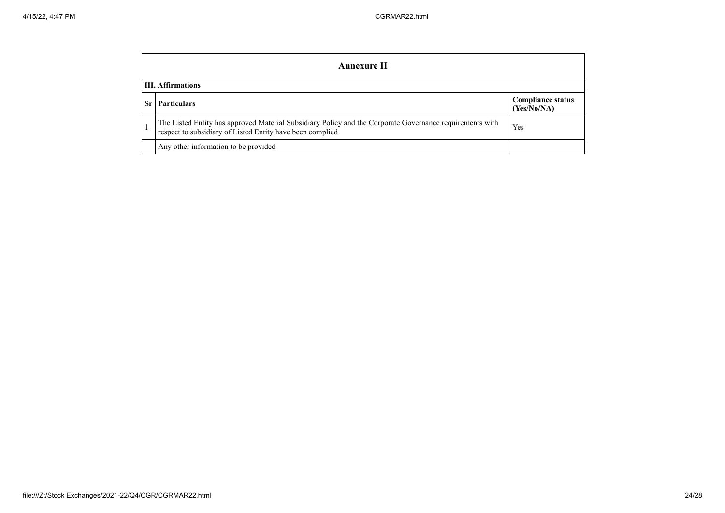|                          | <b>Annexure II</b>                                                                                                                                                    |                                         |  |  |  |
|--------------------------|-----------------------------------------------------------------------------------------------------------------------------------------------------------------------|-----------------------------------------|--|--|--|
| <b>III.</b> Affirmations |                                                                                                                                                                       |                                         |  |  |  |
| Sr.                      | <b>Particulars</b>                                                                                                                                                    | <b>Compliance status</b><br>(Yes/No/NA) |  |  |  |
|                          | The Listed Entity has approved Material Subsidiary Policy and the Corporate Governance requirements with<br>respect to subsidiary of Listed Entity have been complied | Yes                                     |  |  |  |
|                          | Any other information to be provided                                                                                                                                  |                                         |  |  |  |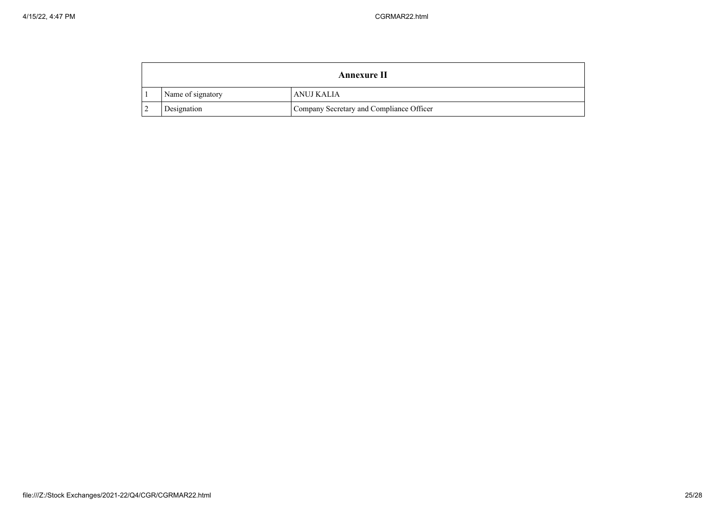| Annexure II       |                                          |  |
|-------------------|------------------------------------------|--|
| Name of signatory | ANUJ KALIA                               |  |
| Designation       | Company Secretary and Compliance Officer |  |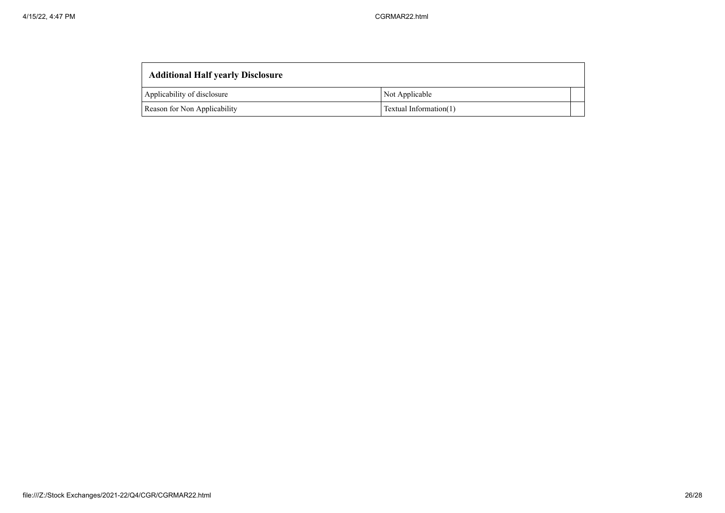| <b>Additional Half yearly Disclosure</b> |                        |  |  |  |
|------------------------------------------|------------------------|--|--|--|
| Applicability of disclosure              | Not Applicable         |  |  |  |
| Reason for Non Applicability             | Textual Information(1) |  |  |  |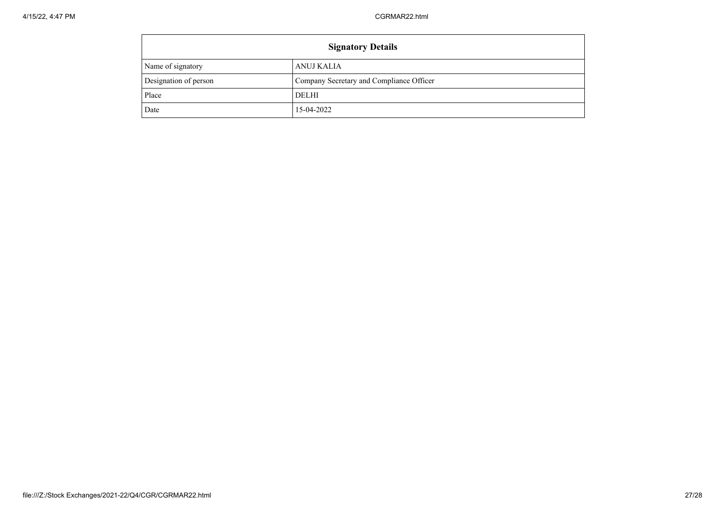| <b>Signatory Details</b> |                                          |  |
|--------------------------|------------------------------------------|--|
| Name of signatory        | ANUJ KALIA                               |  |
| Designation of person    | Company Secretary and Compliance Officer |  |
| Place                    | DELHI                                    |  |
| Date                     | 15-04-2022                               |  |